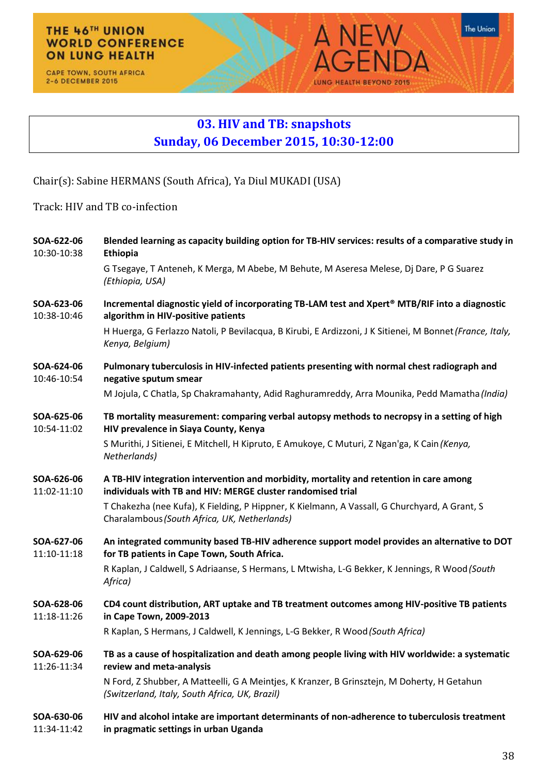## THE 46TH UNION **WORLD CONFERENCE ON LUNG HEALTH**

CAPE TOWN, SOUTH AFRICA 2-6 DECEMBER 2015

## **03. HIV and TB: snapshots Sunday, 06 December 2015, 10:30-12:00**

**A NFW** 

LUNG HEALTH BEYOND 2015

The Union

Δ

Chair(s): Sabine HERMANS (South Africa), Ya Diul MUKADI (USA)

Track: HIV and TB co-infection

| SOA-622-06<br>10:30-10:38 | Blended learning as capacity building option for TB-HIV services: results of a comparative study in<br><b>Ethiopia</b>                                |
|---------------------------|-------------------------------------------------------------------------------------------------------------------------------------------------------|
|                           | G Tsegaye, T Anteneh, K Merga, M Abebe, M Behute, M Aseresa Melese, Dj Dare, P G Suarez<br>(Ethiopia, USA)                                            |
| SOA-623-06<br>10:38-10:46 | Incremental diagnostic yield of incorporating TB-LAM test and Xpert <sup>®</sup> MTB/RIF into a diagnostic<br>algorithm in HIV-positive patients      |
|                           | H Huerga, G Ferlazzo Natoli, P Bevilacqua, B Kirubi, E Ardizzoni, J K Sitienei, M Bonnet (France, Italy,<br>Kenya, Belgium)                           |
| SOA-624-06<br>10:46-10:54 | Pulmonary tuberculosis in HIV-infected patients presenting with normal chest radiograph and<br>negative sputum smear                                  |
|                           | M Jojula, C Chatla, Sp Chakramahanty, Adid Raghuramreddy, Arra Mounika, Pedd Mamatha (India)                                                          |
| SOA-625-06<br>10:54-11:02 | TB mortality measurement: comparing verbal autopsy methods to necropsy in a setting of high<br>HIV prevalence in Siaya County, Kenya                  |
|                           | S Murithi, J Sitienei, E Mitchell, H Kipruto, E Amukoye, C Muturi, Z Ngan'ga, K Cain (Kenya,<br>Netherlands)                                          |
| SOA-626-06<br>11:02-11:10 | A TB-HIV integration intervention and morbidity, mortality and retention in care among<br>individuals with TB and HIV: MERGE cluster randomised trial |
|                           | T Chakezha (nee Kufa), K Fielding, P Hippner, K Kielmann, A Vassall, G Churchyard, A Grant, S<br>Charalambous (South Africa, UK, Netherlands)         |
| SOA-627-06<br>11:10-11:18 | An integrated community based TB-HIV adherence support model provides an alternative to DOT<br>for TB patients in Cape Town, South Africa.            |
|                           | R Kaplan, J Caldwell, S Adriaanse, S Hermans, L Mtwisha, L-G Bekker, K Jennings, R Wood (South<br>Africa)                                             |
| SOA-628-06<br>11:18-11:26 | CD4 count distribution, ART uptake and TB treatment outcomes among HIV-positive TB patients<br>in Cape Town, 2009-2013                                |
|                           | R Kaplan, S Hermans, J Caldwell, K Jennings, L-G Bekker, R Wood (South Africa)                                                                        |
| SOA-629-06<br>11:26-11:34 | TB as a cause of hospitalization and death among people living with HIV worldwide: a systematic<br>review and meta-analysis                           |
|                           | N Ford, Z Shubber, A Matteelli, G A Meintjes, K Kranzer, B Grinsztejn, M Doherty, H Getahun<br>(Switzerland, Italy, South Africa, UK, Brazil)         |
| SOA-630-06<br>11:34-11:42 | HIV and alcohol intake are important determinants of non-adherence to tuberculosis treatment<br>in pragmatic settings in urban Uganda                 |